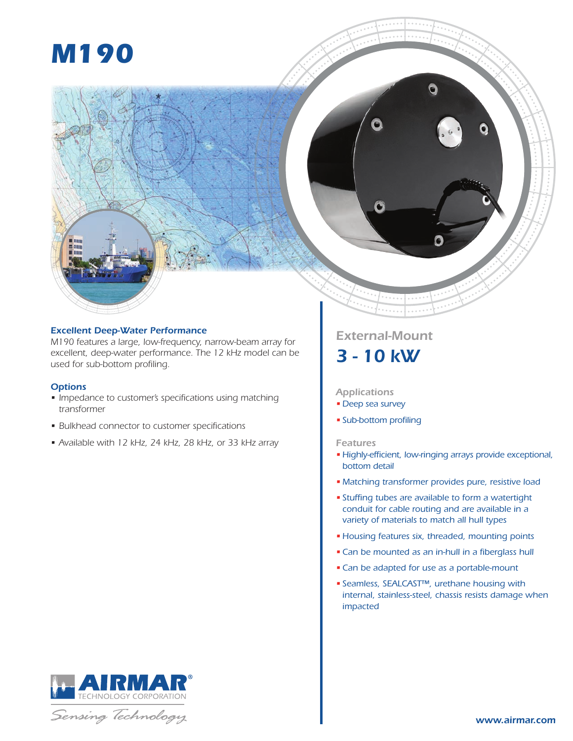# *M190*



## *Excellent Deep-Water Performance*

*M190 features a large, low-frequency, narrow-beam array for excellent, deep-water performance. The 12 kHz model can be used for sub-bottom profiling.*

## *Options*

- Impedance to customer's specifications using matching *transformer*
- • B*ulkhead connector to customer specifications*
- • Av*ailable with 12 kHz, 24 kHz, 28 kHz, or 33 kHz array*

## *External-Mount 3 - 10 kW*

## *Applications*

- *Deep sea survey*
- *Sub-bottom profiling*

## *Features*

- *Highly-efficient, low-ringing arrays provide exceptional, bottom detail*
- *Matching transformer provides pure, resistive load*
- *Stuffing tubes are available to form a watertight conduit for cable routing and are available in a variety of materials to match all hull types*
- *Housing features six, threaded, mounting points*
- •*Can be mounted as an in-hull in a fiberglass hull*
- •*Can be adapted for use as a portable-mount*
- *Seamless, SEALCAST™, urethane housing with internal, stainless-steel, chassis resists damage when impacted*



Sensing Technology